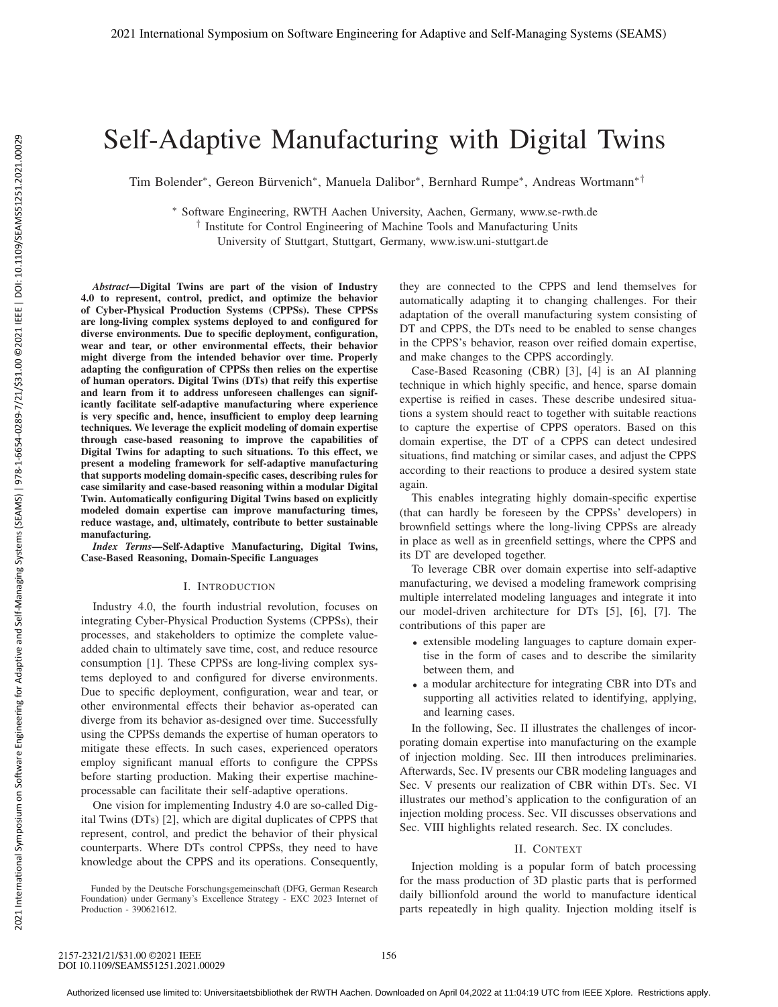# Self-Adaptive Manufacturing with Digital Twins

Tim Bolender∗, Gereon Bürvenich∗, Manuela Dalibor∗, Bernhard Rumpe∗, Andreas Wortmann∗†

∗ Software Engineering, RWTH Aachen University, Aachen, Germany, www.se-rwth.de

† Institute for Control Engineering of Machine Tools and Manufacturing Units University of Stuttgart, Stuttgart, Germany, www.isw.uni-stuttgart.de

*Abstract*—Digital Twins are part of the vision of Industry 4.0 to represent, control, predict, and optimize the behavior of Cyber-Physical Production Systems (CPPSs). These CPPSs are long-living complex systems deployed to and configured for diverse environments. Due to specific deployment, configuration, wear and tear, or other environmental effects, their behavior might diverge from the intended behavior over time. Properly adapting the configuration of CPPSs then relies on the expertise of human operators. Digital Twins (DTs) that reify this expertise and learn from it to address unforeseen challenges can significantly facilitate self-adaptive manufacturing where experience is very specific and, hence, insufficient to employ deep learning techniques. We leverage the explicit modeling of domain expertise through case-based reasoning to improve the capabilities of Digital Twins for adapting to such situations. To this effect, we present a modeling framework for self-adaptive manufacturing that supports modeling domain-specific cases, describing rules for case similarity and case-based reasoning within a modular Digital Twin. Automatically configuring Digital Twins based on explicitly modeled domain expertise can improve manufacturing times, reduce wastage, and, ultimately, contribute to better sustainable manufacturing.

*Index Terms*—Self-Adaptive Manufacturing, Digital Twins, Case-Based Reasoning, Domain-Specific Languages

# I. INTRODUCTION

Industry 4.0, the fourth industrial revolution, focuses on integrating Cyber-Physical Production Systems (CPPSs), their processes, and stakeholders to optimize the complete valueadded chain to ultimately save time, cost, and reduce resource consumption [1]. These CPPSs are long-living complex systems deployed to and configured for diverse environments. Due to specific deployment, configuration, wear and tear, or other environmental effects their behavior as-operated can diverge from its behavior as-designed over time. Successfully using the CPPSs demands the expertise of human operators to mitigate these effects. In such cases, experienced operators employ significant manual efforts to configure the CPPSs before starting production. Making their expertise machineprocessable can facilitate their self-adaptive operations.

One vision for implementing Industry 4.0 are so-called Digital Twins (DTs) [2], which are digital duplicates of CPPS that represent, control, and predict the behavior of their physical counterparts. Where DTs control CPPSs, they need to have knowledge about the CPPS and its operations. Consequently,

Funded by the Deutsche Forschungsgemeinschaft (DFG, German Research Foundation) under Germany's Excellence Strategy - EXC 2023 Internet of Production - 390621612.

they are connected to the CPPS and lend themselves for automatically adapting it to changing challenges. For their adaptation of the overall manufacturing system consisting of DT and CPPS, the DTs need to be enabled to sense changes in the CPPS's behavior, reason over reified domain expertise, and make changes to the CPPS accordingly.

Case-Based Reasoning (CBR) [3], [4] is an AI planning technique in which highly specific, and hence, sparse domain expertise is reified in cases. These describe undesired situations a system should react to together with suitable reactions to capture the expertise of CPPS operators. Based on this domain expertise, the DT of a CPPS can detect undesired situations, find matching or similar cases, and adjust the CPPS according to their reactions to produce a desired system state again.

This enables integrating highly domain-specific expertise (that can hardly be foreseen by the CPPSs' developers) in brownfield settings where the long-living CPPSs are already in place as well as in greenfield settings, where the CPPS and its DT are developed together.

To leverage CBR over domain expertise into self-adaptive manufacturing, we devised a modeling framework comprising multiple interrelated modeling languages and integrate it into our model-driven architecture for DTs [5], [6], [7]. The contributions of this paper are

- extensible modeling languages to capture domain expertise in the form of cases and to describe the similarity between them, and
- a modular architecture for integrating CBR into DTs and supporting all activities related to identifying, applying, and learning cases.

In the following, Sec. II illustrates the challenges of incorporating domain expertise into manufacturing on the example of injection molding. Sec. III then introduces preliminaries. Afterwards, Sec. IV presents our CBR modeling languages and Sec. V presents our realization of CBR within DTs. Sec. VI illustrates our method's application to the configuration of an injection molding process. Sec. VII discusses observations and Sec. VIII highlights related research. Sec. IX concludes.

#### II. CONTEXT

Injection molding is a popular form of batch processing for the mass production of 3D plastic parts that is performed daily billionfold around the world to manufacture identical parts repeatedly in high quality. Injection molding itself is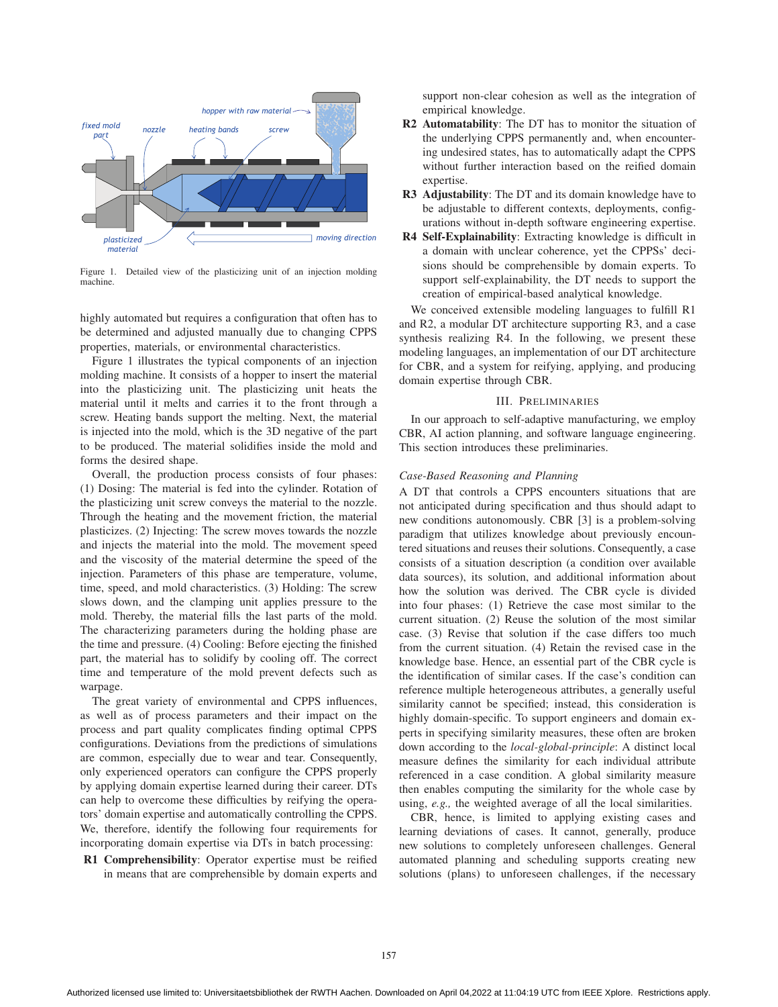

Figure 1. Detailed view of the plasticizing unit of an injection molding machine.

highly automated but requires a configuration that often has to be determined and adjusted manually due to changing CPPS properties, materials, or environmental characteristics.

Figure 1 illustrates the typical components of an injection molding machine. It consists of a hopper to insert the material into the plasticizing unit. The plasticizing unit heats the material until it melts and carries it to the front through a screw. Heating bands support the melting. Next, the material is injected into the mold, which is the 3D negative of the part to be produced. The material solidifies inside the mold and forms the desired shape.

Overall, the production process consists of four phases: (1) Dosing: The material is fed into the cylinder. Rotation of the plasticizing unit screw conveys the material to the nozzle. Through the heating and the movement friction, the material plasticizes. (2) Injecting: The screw moves towards the nozzle and injects the material into the mold. The movement speed and the viscosity of the material determine the speed of the injection. Parameters of this phase are temperature, volume, time, speed, and mold characteristics. (3) Holding: The screw slows down, and the clamping unit applies pressure to the mold. Thereby, the material fills the last parts of the mold. The characterizing parameters during the holding phase are the time and pressure. (4) Cooling: Before ejecting the finished part, the material has to solidify by cooling off. The correct time and temperature of the mold prevent defects such as warpage.

The great variety of environmental and CPPS influences, as well as of process parameters and their impact on the process and part quality complicates finding optimal CPPS configurations. Deviations from the predictions of simulations are common, especially due to wear and tear. Consequently, only experienced operators can configure the CPPS properly by applying domain expertise learned during their career. DTs can help to overcome these difficulties by reifying the operators' domain expertise and automatically controlling the CPPS. We, therefore, identify the following four requirements for incorporating domain expertise via DTs in batch processing:

R1 Comprehensibility: Operator expertise must be reified in means that are comprehensible by domain experts and support non-clear cohesion as well as the integration of empirical knowledge.

- R2 Automatability: The DT has to monitor the situation of the underlying CPPS permanently and, when encountering undesired states, has to automatically adapt the CPPS without further interaction based on the reified domain expertise.
- R3 Adjustability: The DT and its domain knowledge have to be adjustable to different contexts, deployments, configurations without in-depth software engineering expertise.
- R4 Self-Explainability: Extracting knowledge is difficult in a domain with unclear coherence, yet the CPPSs' decisions should be comprehensible by domain experts. To support self-explainability, the DT needs to support the creation of empirical-based analytical knowledge.

We conceived extensible modeling languages to fulfill R1 and R2, a modular DT architecture supporting R3, and a case synthesis realizing R4. In the following, we present these modeling languages, an implementation of our DT architecture for CBR, and a system for reifying, applying, and producing domain expertise through CBR.

## III. PRELIMINARIES

In our approach to self-adaptive manufacturing, we employ CBR, AI action planning, and software language engineering. This section introduces these preliminaries.

## *Case-Based Reasoning and Planning*

A DT that controls a CPPS encounters situations that are not anticipated during specification and thus should adapt to new conditions autonomously. CBR [3] is a problem-solving paradigm that utilizes knowledge about previously encountered situations and reuses their solutions. Consequently, a case consists of a situation description (a condition over available data sources), its solution, and additional information about how the solution was derived. The CBR cycle is divided into four phases: (1) Retrieve the case most similar to the current situation. (2) Reuse the solution of the most similar case. (3) Revise that solution if the case differs too much from the current situation. (4) Retain the revised case in the knowledge base. Hence, an essential part of the CBR cycle is the identification of similar cases. If the case's condition can reference multiple heterogeneous attributes, a generally useful similarity cannot be specified; instead, this consideration is highly domain-specific. To support engineers and domain experts in specifying similarity measures, these often are broken down according to the *local-global-principle*: A distinct local measure defines the similarity for each individual attribute referenced in a case condition. A global similarity measure then enables computing the similarity for the whole case by using, *e.g.,* the weighted average of all the local similarities.

CBR, hence, is limited to applying existing cases and learning deviations of cases. It cannot, generally, produce new solutions to completely unforeseen challenges. General automated planning and scheduling supports creating new solutions (plans) to unforeseen challenges, if the necessary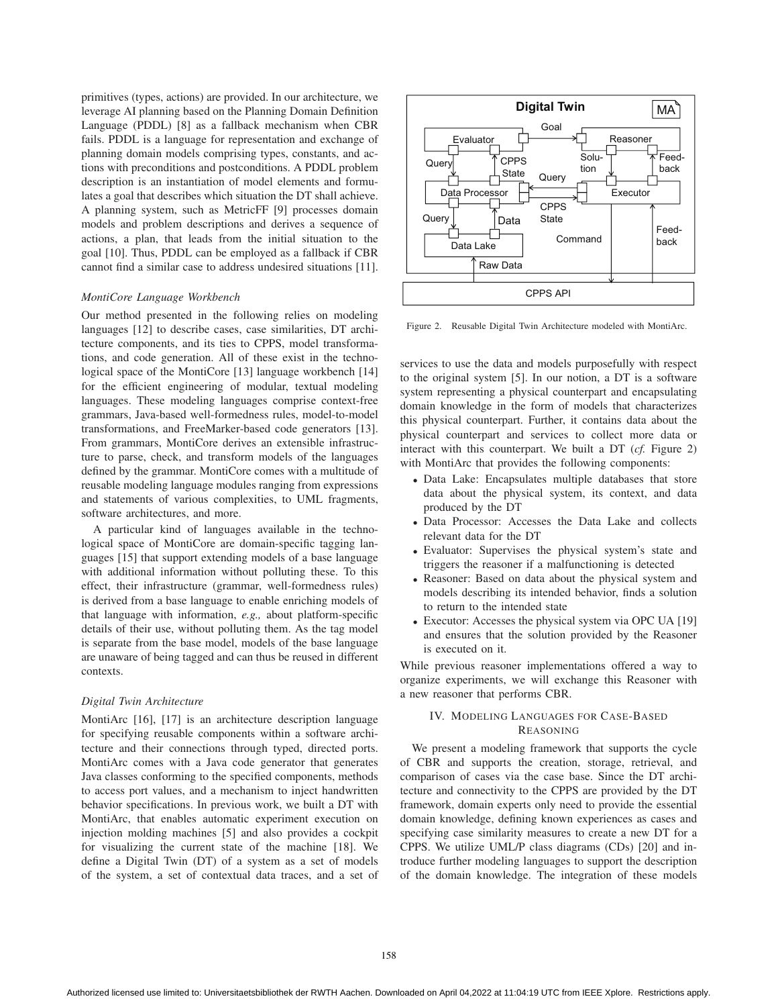primitives (types, actions) are provided. In our architecture, we leverage AI planning based on the Planning Domain Definition Language (PDDL) [8] as a fallback mechanism when CBR fails. PDDL is a language for representation and exchange of planning domain models comprising types, constants, and actions with preconditions and postconditions. A PDDL problem description is an instantiation of model elements and formulates a goal that describes which situation the DT shall achieve. A planning system, such as MetricFF [9] processes domain models and problem descriptions and derives a sequence of actions, a plan, that leads from the initial situation to the goal [10]. Thus, PDDL can be employed as a fallback if CBR cannot find a similar case to address undesired situations [11].

#### *MontiCore Language Workbench*

Our method presented in the following relies on modeling languages [12] to describe cases, case similarities, DT architecture components, and its ties to CPPS, model transformations, and code generation. All of these exist in the technological space of the MontiCore [13] language workbench [14] for the efficient engineering of modular, textual modeling languages. These modeling languages comprise context-free grammars, Java-based well-formedness rules, model-to-model transformations, and FreeMarker-based code generators [13]. From grammars, MontiCore derives an extensible infrastructure to parse, check, and transform models of the languages defined by the grammar. MontiCore comes with a multitude of reusable modeling language modules ranging from expressions and statements of various complexities, to UML fragments, software architectures, and more.

A particular kind of languages available in the technological space of MontiCore are domain-specific tagging languages [15] that support extending models of a base language with additional information without polluting these. To this effect, their infrastructure (grammar, well-formedness rules) is derived from a base language to enable enriching models of that language with information, *e.g.,* about platform-specific details of their use, without polluting them. As the tag model is separate from the base model, models of the base language are unaware of being tagged and can thus be reused in different contexts.

#### *Digital Twin Architecture*

MontiArc [16], [17] is an architecture description language for specifying reusable components within a software architecture and their connections through typed, directed ports. MontiArc comes with a Java code generator that generates Java classes conforming to the specified components, methods to access port values, and a mechanism to inject handwritten behavior specifications. In previous work, we built a DT with MontiArc, that enables automatic experiment execution on injection molding machines [5] and also provides a cockpit for visualizing the current state of the machine [18]. We define a Digital Twin (DT) of a system as a set of models of the system, a set of contextual data traces, and a set of



Figure 2. Reusable Digital Twin Architecture modeled with MontiArc.

services to use the data and models purposefully with respect to the original system [5]. In our notion, a DT is a software system representing a physical counterpart and encapsulating domain knowledge in the form of models that characterizes this physical counterpart. Further, it contains data about the physical counterpart and services to collect more data or interact with this counterpart. We built a DT (*cf.* Figure 2) with MontiArc that provides the following components:

- Data Lake: Encapsulates multiple databases that store data about the physical system, its context, and data produced by the DT
- Data Processor: Accesses the Data Lake and collects relevant data for the DT
- Evaluator: Supervises the physical system's state and triggers the reasoner if a malfunctioning is detected
- Reasoner: Based on data about the physical system and models describing its intended behavior, finds a solution to return to the intended state
- Executor: Accesses the physical system via OPC UA [19] and ensures that the solution provided by the Reasoner is executed on it.

While previous reasoner implementations offered a way to organize experiments, we will exchange this Reasoner with a new reasoner that performs CBR.

# IV. MODELING LANGUAGES FOR CASE-BASED REASONING

We present a modeling framework that supports the cycle of CBR and supports the creation, storage, retrieval, and comparison of cases via the case base. Since the DT architecture and connectivity to the CPPS are provided by the DT framework, domain experts only need to provide the essential domain knowledge, defining known experiences as cases and specifying case similarity measures to create a new DT for a CPPS. We utilize UML/P class diagrams (CDs) [20] and introduce further modeling languages to support the description of the domain knowledge. The integration of these models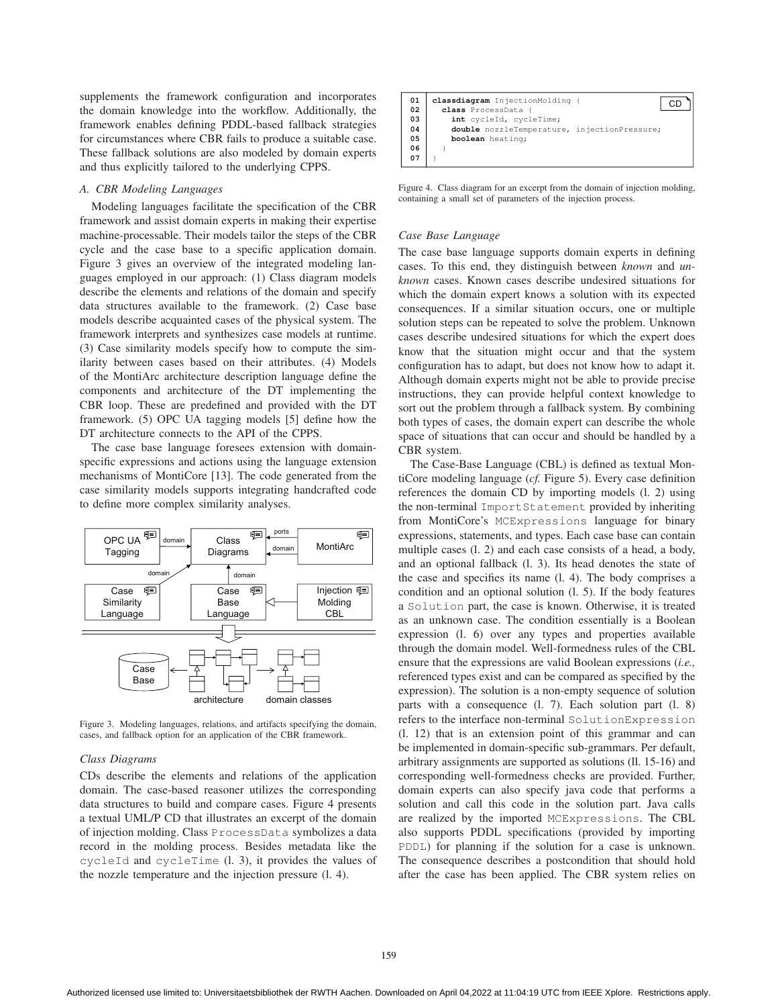supplements the framework configuration and incorporates the domain knowledge into the workflow. Additionally, the framework enables defining PDDL-based fallback strategies for circumstances where CBR fails to produce a suitable case. These fallback solutions are also modeled by domain experts and thus explicitly tailored to the underlying CPPS.

## *A. CBR Modeling Languages*

Modeling languages facilitate the specification of the CBR framework and assist domain experts in making their expertise machine-processable. Their models tailor the steps of the CBR cycle and the case base to a specific application domain. Figure 3 gives an overview of the integrated modeling languages employed in our approach: (1) Class diagram models describe the elements and relations of the domain and specify data structures available to the framework. (2) Case base models describe acquainted cases of the physical system. The framework interprets and synthesizes case models at runtime. (3) Case similarity models specify how to compute the similarity between cases based on their attributes. (4) Models of the MontiArc architecture description language define the components and architecture of the DT implementing the CBR loop. These are predefined and provided with the DT framework. (5) OPC UA tagging models [5] define how the DT architecture connects to the API of the CPPS.

The case base language foresees extension with domainspecific expressions and actions using the language extension mechanisms of MontiCore [13]. The code generated from the case similarity models supports integrating handcrafted code to define more complex similarity analyses.



Figure 3. Modeling languages, relations, and artifacts specifying the domain, cases, and fallback option for an application of the CBR framework.

# *Class Diagrams*

CDs describe the elements and relations of the application domain. The case-based reasoner utilizes the corresponding data structures to build and compare cases. Figure 4 presents a textual UML/P CD that illustrates an excerpt of the domain of injection molding. Class ProcessData symbolizes a data record in the molding process. Besides metadata like the cycleId and cycleTime (l. 3), it provides the values of the nozzle temperature and the injection pressure (l. 4).



Figure 4. Class diagram for an excerpt from the domain of injection molding, containing a small set of parameters of the injection process.

# *Case Base Language*

The case base language supports domain experts in defining cases. To this end, they distinguish between *known* and *unknown* cases. Known cases describe undesired situations for which the domain expert knows a solution with its expected consequences. If a similar situation occurs, one or multiple solution steps can be repeated to solve the problem. Unknown cases describe undesired situations for which the expert does know that the situation might occur and that the system configuration has to adapt, but does not know how to adapt it. Although domain experts might not be able to provide precise instructions, they can provide helpful context knowledge to sort out the problem through a fallback system. By combining both types of cases, the domain expert can describe the whole space of situations that can occur and should be handled by a CBR system.

The Case-Base Language (CBL) is defined as textual MontiCore modeling language (*cf.* Figure 5). Every case definition references the domain CD by importing models (l. 2) using the non-terminal ImportStatement provided by inheriting from MontiCore's MCExpressions language for binary expressions, statements, and types. Each case base can contain multiple cases (l. 2) and each case consists of a head, a body, and an optional fallback (l. 3). Its head denotes the state of the case and specifies its name (l. 4). The body comprises a condition and an optional solution (l. 5). If the body features a Solution part, the case is known. Otherwise, it is treated as an unknown case. The condition essentially is a Boolean expression (l. 6) over any types and properties available through the domain model. Well-formedness rules of the CBL ensure that the expressions are valid Boolean expressions (*i.e.,* referenced types exist and can be compared as specified by the expression). The solution is a non-empty sequence of solution parts with a consequence (l. 7). Each solution part (l. 8) refers to the interface non-terminal SolutionExpression (l. 12) that is an extension point of this grammar and can be implemented in domain-specific sub-grammars. Per default, arbitrary assignments are supported as solutions (ll. 15-16) and corresponding well-formedness checks are provided. Further, domain experts can also specify java code that performs a solution and call this code in the solution part. Java calls are realized by the imported MCExpressions. The CBL also supports PDDL specifications (provided by importing PDDL) for planning if the solution for a case is unknown. The consequence describes a postcondition that should hold after the case has been applied. The CBR system relies on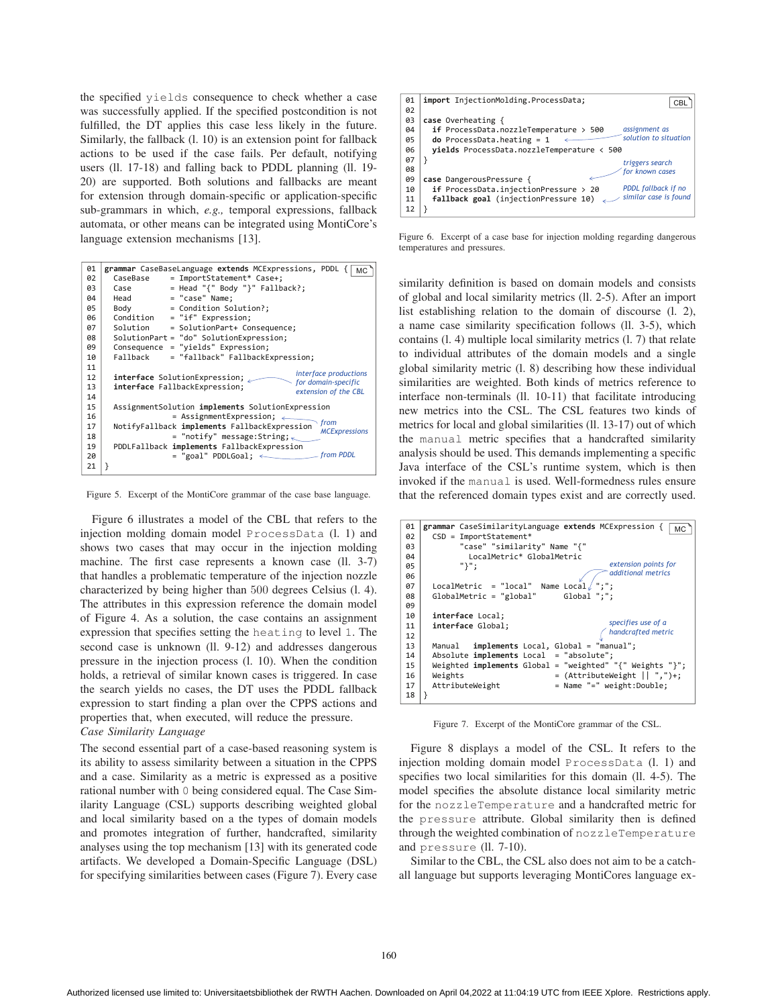the specified yields consequence to check whether a case was successfully applied. If the specified postcondition is not fulfilled, the DT applies this case less likely in the future. Similarly, the fallback (l. 10) is an extension point for fallback actions to be used if the case fails. Per default, notifying users (ll. 17-18) and falling back to PDDL planning (ll. 19- 20) are supported. Both solutions and fallbacks are meant for extension through domain-specific or application-specific sub-grammars in which, *e.g.,* temporal expressions, fallback automata, or other means can be integrated using MontiCore's language extension mechanisms [13].

| 01 | grammar CaseBaseLanguage extends MCExpressions, PDDL {<br>MC                 |
|----|------------------------------------------------------------------------------|
| 02 | = ImportStatement* Case+;<br>CaseBase                                        |
| 03 | $=$ Head "{" Body "}" Fallback?;<br>Case                                     |
| 04 | = "case" Name;<br>Head                                                       |
| 05 | Body<br>= Condition Solution?;                                               |
| 06 | Condition<br>= "if" Expression;                                              |
| 07 | = SolutionPart+ Consequence;<br>Solution                                     |
| 98 | SolutionPart = "do" SolutionExpression;                                      |
| 09 | Consequence = "yields" Expression;                                           |
| 10 | Fallback<br>= "fallback" FallbackExpression;                                 |
| 11 |                                                                              |
| 12 | interface productions<br>interface SolutionExpression;                       |
| 13 | for domain-specific<br>interface FallbackExpression;<br>extension of the CBL |
| 14 |                                                                              |
| 15 | AssignmentSolution implements SolutionExpression                             |
| 16 | = AssignmentExpression; $\leftarrow$                                         |
| 17 | from<br>NotifyFallback implements FallbackExpression<br><b>MCExpressions</b> |
| 18 | = "notify" message:String; $\lt$                                             |
| 19 | PDDLFallback implements FallbackExpression                                   |
| 20 | from PDDL<br>$=$ "goal" PDDLGoal; $\longleftarrow$                           |
| 21 |                                                                              |
|    |                                                                              |

Figure 5. Excerpt of the MontiCore grammar of the case base language.

Figure 6 illustrates a model of the CBL that refers to the injection molding domain model ProcessData (l. 1) and shows two cases that may occur in the injection molding machine. The first case represents a known case (ll. 3-7) that handles a problematic temperature of the injection nozzle characterized by being higher than 500 degrees Celsius (l. 4). The attributes in this expression reference the domain model of Figure 4. As a solution, the case contains an assignment expression that specifies setting the heating to level 1. The second case is unknown (ll. 9-12) and addresses dangerous pressure in the injection process (l. 10). When the condition holds, a retrieval of similar known cases is triggered. In case the search yields no cases, the DT uses the PDDL fallback expression to start finding a plan over the CPPS actions and properties that, when executed, will reduce the pressure. *Case Similarity Language*

The second essential part of a case-based reasoning system is its ability to assess similarity between a situation in the CPPS and a case. Similarity as a metric is expressed as a positive rational number with 0 being considered equal. The Case Similarity Language (CSL) supports describing weighted global and local similarity based on a the types of domain models and promotes integration of further, handcrafted, similarity analyses using the top mechanism [13] with its generated code artifacts. We developed a Domain-Specific Language (DSL) for specifying similarities between cases (Figure 7). Every case



Figure 6. Excerpt of a case base for injection molding regarding dangerous temperatures and pressures.

similarity definition is based on domain models and consists of global and local similarity metrics (ll. 2-5). After an import list establishing relation to the domain of discourse (l. 2), a name case similarity specification follows (ll. 3-5), which contains (l. 4) multiple local similarity metrics (l. 7) that relate to individual attributes of the domain models and a single global similarity metric (l. 8) describing how these individual similarities are weighted. Both kinds of metrics reference to interface non-terminals (ll. 10-11) that facilitate introducing new metrics into the CSL. The CSL features two kinds of metrics for local and global similarities (ll. 13-17) out of which the manual metric specifies that a handcrafted similarity analysis should be used. This demands implementing a specific Java interface of the CSL's runtime system, which is then invoked if the manual is used. Well-formedness rules ensure that the referenced domain types exist and are correctly used.

| 01<br>02 | grammar CaseSimilarityLanguage extends MCExpression {<br><b>MC</b><br>$CSD = ImportStatement*$ |  |  |  |  |  |
|----------|------------------------------------------------------------------------------------------------|--|--|--|--|--|
|          |                                                                                                |  |  |  |  |  |
| 03       | "case" "similarity" Name "{"                                                                   |  |  |  |  |  |
| 04       | LocalMetric* GlobalMetric                                                                      |  |  |  |  |  |
| 05       | extension points for<br>"ነ":                                                                   |  |  |  |  |  |
|          | additional metrics                                                                             |  |  |  |  |  |
| 06       |                                                                                                |  |  |  |  |  |
| 07       | $"$ :":<br>$LocalMetric = "local"$ Name $Local$                                                |  |  |  |  |  |
| 98       | GlobalMetric = "global"<br>$Global$ ":":                                                       |  |  |  |  |  |
| 09       |                                                                                                |  |  |  |  |  |
|          |                                                                                                |  |  |  |  |  |
| 10       | interface Local;                                                                               |  |  |  |  |  |
| 11       | specifies use of a<br>interface Global:                                                        |  |  |  |  |  |
| 12       | handcrafted metric                                                                             |  |  |  |  |  |
| 13       | implements Local, Global = "manual";<br>Manual                                                 |  |  |  |  |  |
|          |                                                                                                |  |  |  |  |  |
| 14       | Absolute $\text{implements Local} = "absolute";$                                               |  |  |  |  |  |
| 15       | Weighted implements Global = "weighted" "{" Weights "}";                                       |  |  |  |  |  |
| 16       | = $(AttributeWeight    ",")+;$<br>Weights                                                      |  |  |  |  |  |
|          |                                                                                                |  |  |  |  |  |
| 17       | = Name "=" weight:Double;<br>AttributeWeight                                                   |  |  |  |  |  |
| 18       |                                                                                                |  |  |  |  |  |
|          |                                                                                                |  |  |  |  |  |

Figure 7. Excerpt of the MontiCore grammar of the CSL.

Figure 8 displays a model of the CSL. It refers to the injection molding domain model ProcessData (l. 1) and specifies two local similarities for this domain (ll. 4-5). The model specifies the absolute distance local similarity metric for the nozzleTemperature and a handcrafted metric for the pressure attribute. Global similarity then is defined through the weighted combination of nozzleTemperature and pressure (ll. 7-10).

Similar to the CBL, the CSL also does not aim to be a catchall language but supports leveraging MontiCores language ex-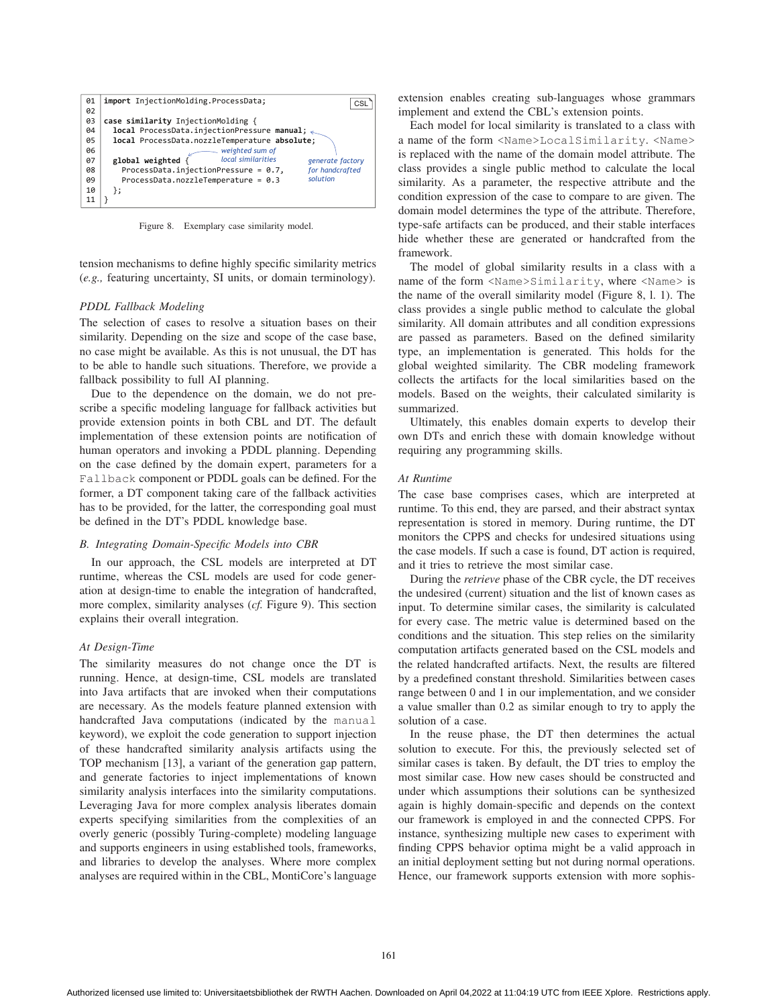

Figure 8. Exemplary case similarity model.

tension mechanisms to define highly specific similarity metrics (*e.g.,* featuring uncertainty, SI units, or domain terminology).

# *PDDL Fallback Modeling*

The selection of cases to resolve a situation bases on their similarity. Depending on the size and scope of the case base, no case might be available. As this is not unusual, the DT has to be able to handle such situations. Therefore, we provide a fallback possibility to full AI planning.

Due to the dependence on the domain, we do not prescribe a specific modeling language for fallback activities but provide extension points in both CBL and DT. The default implementation of these extension points are notification of human operators and invoking a PDDL planning. Depending on the case defined by the domain expert, parameters for a Fallback component or PDDL goals can be defined. For the former, a DT component taking care of the fallback activities has to be provided, for the latter, the corresponding goal must be defined in the DT's PDDL knowledge base.

#### *B. Integrating Domain-Specific Models into CBR*

In our approach, the CSL models are interpreted at DT runtime, whereas the CSL models are used for code generation at design-time to enable the integration of handcrafted, more complex, similarity analyses (*cf.* Figure 9). This section explains their overall integration.

#### *At Design-Time*

The similarity measures do not change once the DT is running. Hence, at design-time, CSL models are translated into Java artifacts that are invoked when their computations are necessary. As the models feature planned extension with handcrafted Java computations (indicated by the manual keyword), we exploit the code generation to support injection of these handcrafted similarity analysis artifacts using the TOP mechanism [13], a variant of the generation gap pattern, and generate factories to inject implementations of known similarity analysis interfaces into the similarity computations. Leveraging Java for more complex analysis liberates domain experts specifying similarities from the complexities of an overly generic (possibly Turing-complete) modeling language and supports engineers in using established tools, frameworks, and libraries to develop the analyses. Where more complex analyses are required within in the CBL, MontiCore's language extension enables creating sub-languages whose grammars implement and extend the CBL's extension points.

Each model for local similarity is translated to a class with a name of the form <Name>LocalSimilarity. <Name> is replaced with the name of the domain model attribute. The class provides a single public method to calculate the local similarity. As a parameter, the respective attribute and the condition expression of the case to compare to are given. The domain model determines the type of the attribute. Therefore, type-safe artifacts can be produced, and their stable interfaces hide whether these are generated or handcrafted from the framework.

The model of global similarity results in a class with a name of the form <Name>Similarity, where <Name> is the name of the overall similarity model (Figure 8, l. 1). The class provides a single public method to calculate the global similarity. All domain attributes and all condition expressions are passed as parameters. Based on the defined similarity type, an implementation is generated. This holds for the global weighted similarity. The CBR modeling framework collects the artifacts for the local similarities based on the models. Based on the weights, their calculated similarity is summarized.

Ultimately, this enables domain experts to develop their own DTs and enrich these with domain knowledge without requiring any programming skills.

#### *At Runtime*

The case base comprises cases, which are interpreted at runtime. To this end, they are parsed, and their abstract syntax representation is stored in memory. During runtime, the DT monitors the CPPS and checks for undesired situations using the case models. If such a case is found, DT action is required, and it tries to retrieve the most similar case.

During the *retrieve* phase of the CBR cycle, the DT receives the undesired (current) situation and the list of known cases as input. To determine similar cases, the similarity is calculated for every case. The metric value is determined based on the conditions and the situation. This step relies on the similarity computation artifacts generated based on the CSL models and the related handcrafted artifacts. Next, the results are filtered by a predefined constant threshold. Similarities between cases range between 0 and 1 in our implementation, and we consider a value smaller than 0.2 as similar enough to try to apply the solution of a case.

In the reuse phase, the DT then determines the actual solution to execute. For this, the previously selected set of similar cases is taken. By default, the DT tries to employ the most similar case. How new cases should be constructed and under which assumptions their solutions can be synthesized again is highly domain-specific and depends on the context our framework is employed in and the connected CPPS. For instance, synthesizing multiple new cases to experiment with finding CPPS behavior optima might be a valid approach in an initial deployment setting but not during normal operations. Hence, our framework supports extension with more sophis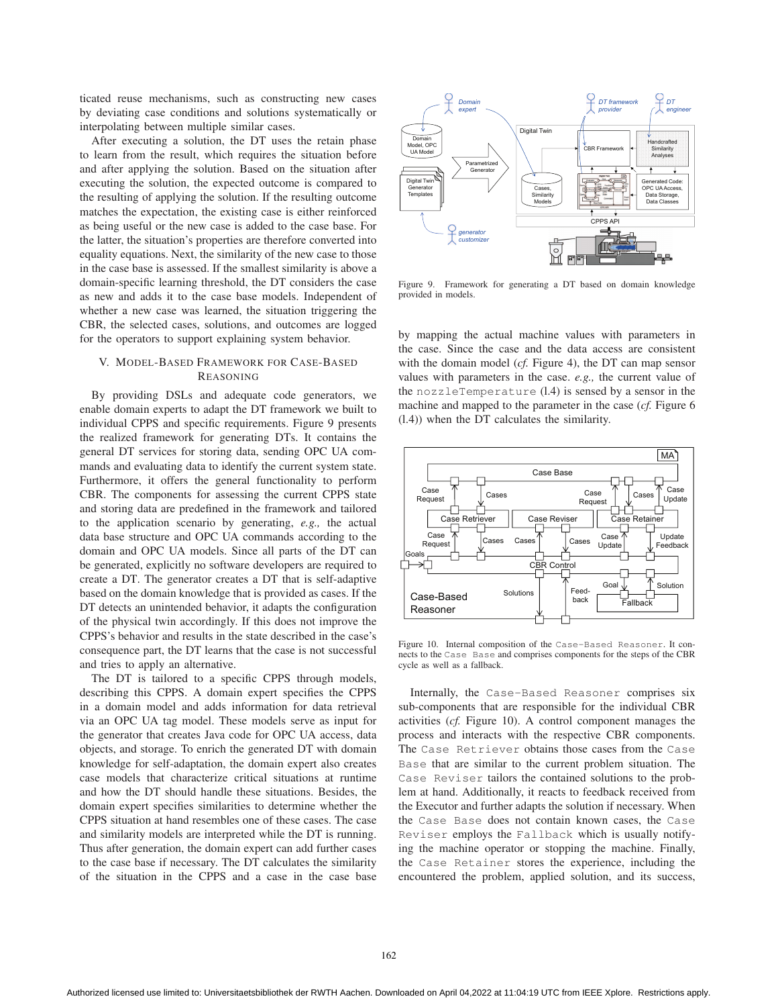ticated reuse mechanisms, such as constructing new cases by deviating case conditions and solutions systematically or interpolating between multiple similar cases.

After executing a solution, the DT uses the retain phase to learn from the result, which requires the situation before and after applying the solution. Based on the situation after executing the solution, the expected outcome is compared to the resulting of applying the solution. If the resulting outcome matches the expectation, the existing case is either reinforced as being useful or the new case is added to the case base. For the latter, the situation's properties are therefore converted into equality equations. Next, the similarity of the new case to those in the case base is assessed. If the smallest similarity is above a domain-specific learning threshold, the DT considers the case as new and adds it to the case base models. Independent of whether a new case was learned, the situation triggering the CBR, the selected cases, solutions, and outcomes are logged for the operators to support explaining system behavior.

# V. MODEL-BASED FRAMEWORK FOR CASE-BASED REASONING

By providing DSLs and adequate code generators, we enable domain experts to adapt the DT framework we built to individual CPPS and specific requirements. Figure 9 presents the realized framework for generating DTs. It contains the general DT services for storing data, sending OPC UA commands and evaluating data to identify the current system state. Furthermore, it offers the general functionality to perform CBR. The components for assessing the current CPPS state and storing data are predefined in the framework and tailored to the application scenario by generating, *e.g.,* the actual data base structure and OPC UA commands according to the domain and OPC UA models. Since all parts of the DT can be generated, explicitly no software developers are required to create a DT. The generator creates a DT that is self-adaptive based on the domain knowledge that is provided as cases. If the DT detects an unintended behavior, it adapts the configuration of the physical twin accordingly. If this does not improve the CPPS's behavior and results in the state described in the case's consequence part, the DT learns that the case is not successful and tries to apply an alternative.

The DT is tailored to a specific CPPS through models, describing this CPPS. A domain expert specifies the CPPS in a domain model and adds information for data retrieval via an OPC UA tag model. These models serve as input for the generator that creates Java code for OPC UA access, data objects, and storage. To enrich the generated DT with domain knowledge for self-adaptation, the domain expert also creates case models that characterize critical situations at runtime and how the DT should handle these situations. Besides, the domain expert specifies similarities to determine whether the CPPS situation at hand resembles one of these cases. The case and similarity models are interpreted while the DT is running. Thus after generation, the domain expert can add further cases to the case base if necessary. The DT calculates the similarity of the situation in the CPPS and a case in the case base



Figure 9. Framework for generating a DT based on domain knowledge provided in models.

by mapping the actual machine values with parameters in the case. Since the case and the data access are consistent with the domain model (*cf.* Figure 4), the DT can map sensor values with parameters in the case. *e.g.,* the current value of the nozzleTemperature (l.4) is sensed by a sensor in the machine and mapped to the parameter in the case (*cf.* Figure 6 (l.4)) when the DT calculates the similarity.



Figure 10. Internal composition of the Case-Based Reasoner. It connects to the Case Base and comprises components for the steps of the CBR cycle as well as a fallback.

Internally, the Case-Based Reasoner comprises six sub-components that are responsible for the individual CBR activities (*cf.* Figure 10). A control component manages the process and interacts with the respective CBR components. The Case Retriever obtains those cases from the Case Base that are similar to the current problem situation. The Case Reviser tailors the contained solutions to the problem at hand. Additionally, it reacts to feedback received from the Executor and further adapts the solution if necessary. When the Case Base does not contain known cases, the Case Reviser employs the Fallback which is usually notifying the machine operator or stopping the machine. Finally, the Case Retainer stores the experience, including the encountered the problem, applied solution, and its success,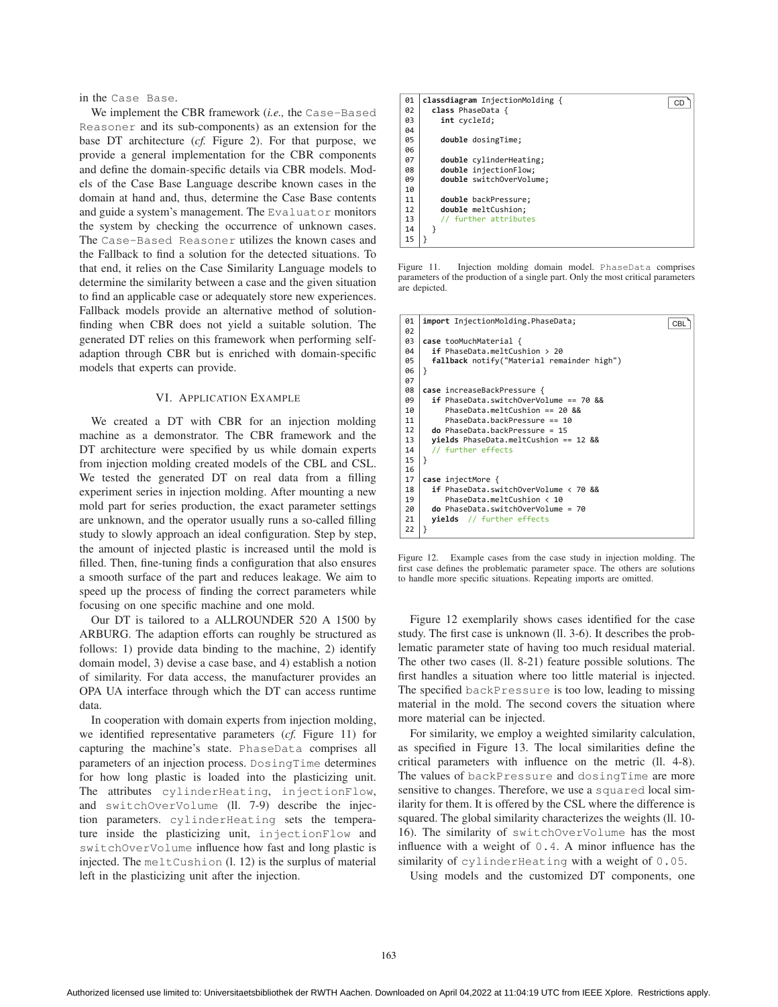in the Case Base.

We implement the CBR framework (*i.e.,* the Case-Based Reasoner and its sub-components) as an extension for the base DT architecture (*cf.* Figure 2). For that purpose, we provide a general implementation for the CBR components and define the domain-specific details via CBR models. Models of the Case Base Language describe known cases in the domain at hand and, thus, determine the Case Base contents and guide a system's management. The Evaluator monitors the system by checking the occurrence of unknown cases. The Case-Based Reasoner utilizes the known cases and the Fallback to find a solution for the detected situations. To that end, it relies on the Case Similarity Language models to determine the similarity between a case and the given situation to find an applicable case or adequately store new experiences. Fallback models provide an alternative method of solutionfinding when CBR does not yield a suitable solution. The generated DT relies on this framework when performing selfadaption through CBR but is enriched with domain-specific models that experts can provide.

## VI. APPLICATION EXAMPLE

We created a DT with CBR for an injection molding machine as a demonstrator. The CBR framework and the DT architecture were specified by us while domain experts from injection molding created models of the CBL and CSL. We tested the generated DT on real data from a filling experiment series in injection molding. After mounting a new mold part for series production, the exact parameter settings are unknown, and the operator usually runs a so-called filling study to slowly approach an ideal configuration. Step by step, the amount of injected plastic is increased until the mold is filled. Then, fine-tuning finds a configuration that also ensures a smooth surface of the part and reduces leakage. We aim to speed up the process of finding the correct parameters while focusing on one specific machine and one mold.

Our DT is tailored to a ALLROUNDER 520 A 1500 by ARBURG. The adaption efforts can roughly be structured as follows: 1) provide data binding to the machine, 2) identify domain model, 3) devise a case base, and 4) establish a notion of similarity. For data access, the manufacturer provides an OPA UA interface through which the DT can access runtime data.

In cooperation with domain experts from injection molding, we identified representative parameters (*cf.* Figure 11) for capturing the machine's state. PhaseData comprises all parameters of an injection process. DosingTime determines for how long plastic is loaded into the plasticizing unit. The attributes cylinderHeating, injectionFlow, and switchOverVolume (ll. 7-9) describe the injection parameters. cylinderHeating sets the temperature inside the plasticizing unit, injectionFlow and switchOverVolume influence how fast and long plastic is injected. The meltCushion (l. 12) is the surplus of material left in the plasticizing unit after the injection.



Figure 11. Injection molding domain model. PhaseData comprises parameters of the production of a single part. Only the most critical parameters are depicted.

| 01 | import InjectionMolding.PhaseData;<br>CBI  |  |  |  |
|----|--------------------------------------------|--|--|--|
| 02 |                                            |  |  |  |
| 03 | case tooMuchMaterial {                     |  |  |  |
| 04 | if PhaseData.meltCushion > 20              |  |  |  |
| 05 | fallback notify("Material remainder high") |  |  |  |
| 06 | ł                                          |  |  |  |
| 07 |                                            |  |  |  |
| 08 | case increaseBackPressure {                |  |  |  |
| 09 | if PhaseData.switchOverVolume == 70 &&     |  |  |  |
| 10 | PhaseData.meltCushion == $20.88$           |  |  |  |
| 11 | PhaseData.backPressure == 10               |  |  |  |
| 12 | $do PhaseData.backPressure = 15$           |  |  |  |
| 13 | yields PhaseData.meltCushion == 12 &&      |  |  |  |
| 14 | // further effects                         |  |  |  |
| 15 | ł                                          |  |  |  |
| 16 |                                            |  |  |  |
| 17 | case injectMore {                          |  |  |  |
| 18 | if PhaseData.switchOverVolume < 70 &&      |  |  |  |
| 19 | PhaseData.meltCushion < 10                 |  |  |  |
| 20 | do PhaseData.swing. (c) One. 70            |  |  |  |
| 21 | <b>yields</b> // further effects           |  |  |  |
| 22 | }                                          |  |  |  |

Figure 12. Example cases from the case study in injection molding. The first case defines the problematic parameter space. The others are solutions to handle more specific situations. Repeating imports are omitted.

Figure 12 exemplarily shows cases identified for the case study. The first case is unknown (ll. 3-6). It describes the problematic parameter state of having too much residual material. The other two cases (ll. 8-21) feature possible solutions. The first handles a situation where too little material is injected. The specified backPressure is too low, leading to missing material in the mold. The second covers the situation where more material can be injected.

For similarity, we employ a weighted similarity calculation, as specified in Figure 13. The local similarities define the critical parameters with influence on the metric (ll. 4-8). The values of backPressure and dosingTime are more sensitive to changes. Therefore, we use a squared local similarity for them. It is offered by the CSL where the difference is squared. The global similarity characterizes the weights (ll. 10- 16). The similarity of switchOverVolume has the most influence with a weight of 0.4. A minor influence has the similarity of cylinderHeating with a weight of 0.05.

Using models and the customized DT components, one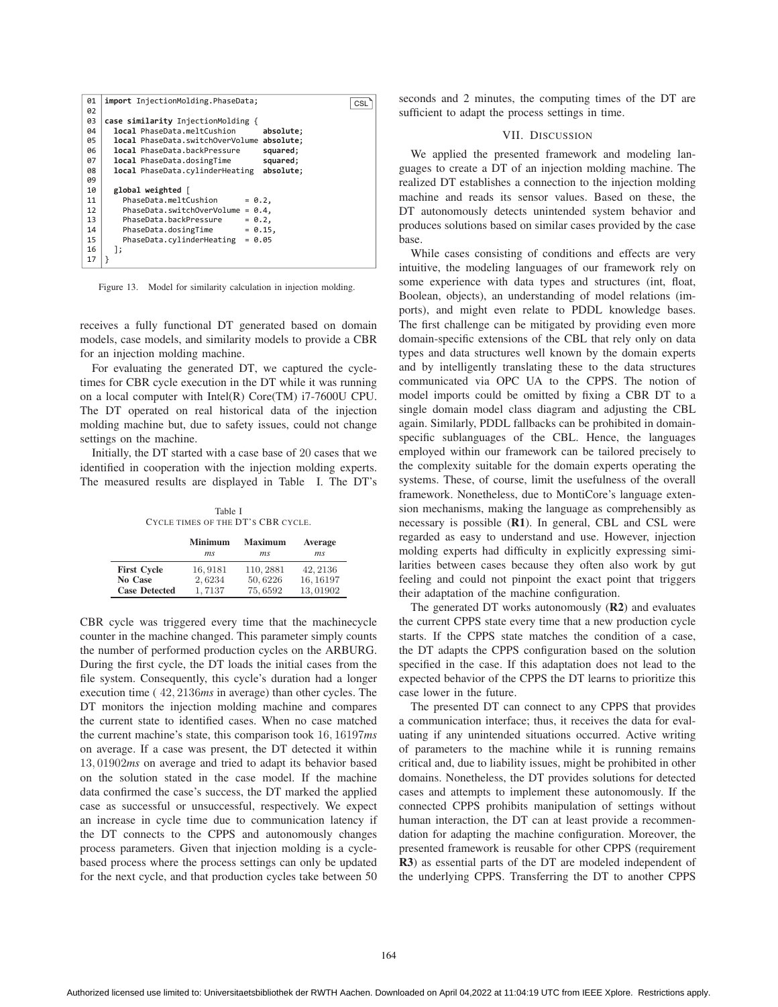| 01 | import InjectionMolding.PhaseData;<br>CSL     |
|----|-----------------------------------------------|
| 02 |                                               |
| 03 | case similarity InjectionMolding {            |
| 04 | local PhaseData.meltCushion<br>absolute;      |
| 05 | local PhaseData.switchOverVolume<br>absolute; |
| 06 | local PhaseData.backPressure<br>squared;      |
| 07 | local PhaseData.dosingTime<br>squared;        |
| 08 | local PhaseData.cylinderHeating<br>absolute;  |
| 09 |                                               |
| 10 | global weighted [                             |
| 11 | PhaseData.meltCushion<br>$= 0.2,$             |
| 12 | PhaseData.switchOverVolume<br>$= 0.4,$        |
| 13 | PhaseData.backPressure<br>$= 0.2$ ,           |
| 14 | PhaseData.dosingTime<br>$= 0.15,$             |
| 15 | PhaseData.cylinderHeating<br>$= 0.05$         |
| 16 | 1;                                            |
| 17 |                                               |

Figure 13. Model for similarity calculation in injection molding.

receives a fully functional DT generated based on domain models, case models, and similarity models to provide a CBR for an injection molding machine.

For evaluating the generated DT, we captured the cycletimes for CBR cycle execution in the DT while it was running on a local computer with Intel(R) Core(TM) i7-7600U CPU. The DT operated on real historical data of the injection molding machine but, due to safety issues, could not change settings on the machine.

Initially, the DT started with a case base of 20 cases that we identified in cooperation with the injection molding experts. The measured results are displayed in Table I. The DT's

Table I CYCLE TIMES OF THE DT'S CBR CYCLE.

|                      | <b>Minimum</b> | <b>Maximum</b> | Average   |
|----------------------|----------------|----------------|-----------|
|                      | ms             | m.s            | ms        |
| <b>First Cycle</b>   | 16,9181        | 110, 2881      | 42, 2136  |
| No Case              | 2,6234         | 50,6226        | 16, 16197 |
| <b>Case Detected</b> | 1,7137         | 75,6592        | 13,01902  |

CBR cycle was triggered every time that the machinecycle counter in the machine changed. This parameter simply counts the number of performed production cycles on the ARBURG. During the first cycle, the DT loads the initial cases from the file system. Consequently, this cycle's duration had a longer execution time ( 42, 2136*ms* in average) than other cycles. The DT monitors the injection molding machine and compares the current state to identified cases. When no case matched the current machine's state, this comparison took 16, 16197*ms* on average. If a case was present, the DT detected it within 13, 01902*ms* on average and tried to adapt its behavior based on the solution stated in the case model. If the machine data confirmed the case's success, the DT marked the applied case as successful or unsuccessful, respectively. We expect an increase in cycle time due to communication latency if the DT connects to the CPPS and autonomously changes process parameters. Given that injection molding is a cyclebased process where the process settings can only be updated for the next cycle, and that production cycles take between 50 seconds and 2 minutes, the computing times of the DT are sufficient to adapt the process settings in time.

# VII. DISCUSSION

We applied the presented framework and modeling languages to create a DT of an injection molding machine. The realized DT establishes a connection to the injection molding machine and reads its sensor values. Based on these, the DT autonomously detects unintended system behavior and produces solutions based on similar cases provided by the case base.

While cases consisting of conditions and effects are very intuitive, the modeling languages of our framework rely on some experience with data types and structures (int, float, Boolean, objects), an understanding of model relations (imports), and might even relate to PDDL knowledge bases. The first challenge can be mitigated by providing even more domain-specific extensions of the CBL that rely only on data types and data structures well known by the domain experts and by intelligently translating these to the data structures communicated via OPC UA to the CPPS. The notion of model imports could be omitted by fixing a CBR DT to a single domain model class diagram and adjusting the CBL again. Similarly, PDDL fallbacks can be prohibited in domainspecific sublanguages of the CBL. Hence, the languages employed within our framework can be tailored precisely to the complexity suitable for the domain experts operating the systems. These, of course, limit the usefulness of the overall framework. Nonetheless, due to MontiCore's language extension mechanisms, making the language as comprehensibly as necessary is possible (R1). In general, CBL and CSL were regarded as easy to understand and use. However, injection molding experts had difficulty in explicitly expressing similarities between cases because they often also work by gut feeling and could not pinpoint the exact point that triggers their adaptation of the machine configuration.

The generated DT works autonomously (R2) and evaluates the current CPPS state every time that a new production cycle starts. If the CPPS state matches the condition of a case, the DT adapts the CPPS configuration based on the solution specified in the case. If this adaptation does not lead to the expected behavior of the CPPS the DT learns to prioritize this case lower in the future.

The presented DT can connect to any CPPS that provides a communication interface; thus, it receives the data for evaluating if any unintended situations occurred. Active writing of parameters to the machine while it is running remains critical and, due to liability issues, might be prohibited in other domains. Nonetheless, the DT provides solutions for detected cases and attempts to implement these autonomously. If the connected CPPS prohibits manipulation of settings without human interaction, the DT can at least provide a recommendation for adapting the machine configuration. Moreover, the presented framework is reusable for other CPPS (requirement R3) as essential parts of the DT are modeled independent of the underlying CPPS. Transferring the DT to another CPPS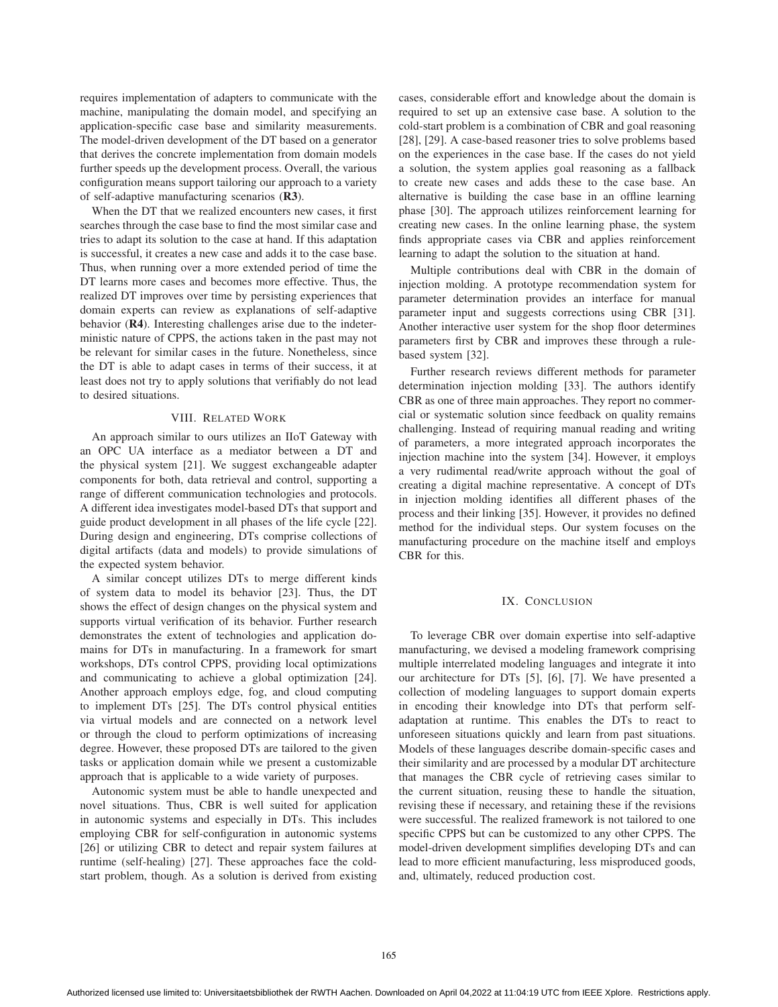requires implementation of adapters to communicate with the machine, manipulating the domain model, and specifying an application-specific case base and similarity measurements. The model-driven development of the DT based on a generator that derives the concrete implementation from domain models further speeds up the development process. Overall, the various configuration means support tailoring our approach to a variety of self-adaptive manufacturing scenarios (R3).

When the DT that we realized encounters new cases, it first searches through the case base to find the most similar case and tries to adapt its solution to the case at hand. If this adaptation is successful, it creates a new case and adds it to the case base. Thus, when running over a more extended period of time the DT learns more cases and becomes more effective. Thus, the realized DT improves over time by persisting experiences that domain experts can review as explanations of self-adaptive behavior (R4). Interesting challenges arise due to the indeterministic nature of CPPS, the actions taken in the past may not be relevant for similar cases in the future. Nonetheless, since the DT is able to adapt cases in terms of their success, it at least does not try to apply solutions that verifiably do not lead to desired situations.

## VIII. RELATED WORK

An approach similar to ours utilizes an IIoT Gateway with an OPC UA interface as a mediator between a DT and the physical system [21]. We suggest exchangeable adapter components for both, data retrieval and control, supporting a range of different communication technologies and protocols. A different idea investigates model-based DTs that support and guide product development in all phases of the life cycle [22]. During design and engineering, DTs comprise collections of digital artifacts (data and models) to provide simulations of the expected system behavior.

A similar concept utilizes DTs to merge different kinds of system data to model its behavior [23]. Thus, the DT shows the effect of design changes on the physical system and supports virtual verification of its behavior. Further research demonstrates the extent of technologies and application domains for DTs in manufacturing. In a framework for smart workshops, DTs control CPPS, providing local optimizations and communicating to achieve a global optimization [24]. Another approach employs edge, fog, and cloud computing to implement DTs [25]. The DTs control physical entities via virtual models and are connected on a network level or through the cloud to perform optimizations of increasing degree. However, these proposed DTs are tailored to the given tasks or application domain while we present a customizable approach that is applicable to a wide variety of purposes.

Autonomic system must be able to handle unexpected and novel situations. Thus, CBR is well suited for application in autonomic systems and especially in DTs. This includes employing CBR for self-configuration in autonomic systems [26] or utilizing CBR to detect and repair system failures at runtime (self-healing) [27]. These approaches face the coldstart problem, though. As a solution is derived from existing cases, considerable effort and knowledge about the domain is required to set up an extensive case base. A solution to the cold-start problem is a combination of CBR and goal reasoning [28], [29]. A case-based reasoner tries to solve problems based on the experiences in the case base. If the cases do not yield a solution, the system applies goal reasoning as a fallback to create new cases and adds these to the case base. An alternative is building the case base in an offline learning phase [30]. The approach utilizes reinforcement learning for creating new cases. In the online learning phase, the system finds appropriate cases via CBR and applies reinforcement learning to adapt the solution to the situation at hand.

Multiple contributions deal with CBR in the domain of injection molding. A prototype recommendation system for parameter determination provides an interface for manual parameter input and suggests corrections using CBR [31]. Another interactive user system for the shop floor determines parameters first by CBR and improves these through a rulebased system [32].

Further research reviews different methods for parameter determination injection molding [33]. The authors identify CBR as one of three main approaches. They report no commercial or systematic solution since feedback on quality remains challenging. Instead of requiring manual reading and writing of parameters, a more integrated approach incorporates the injection machine into the system [34]. However, it employs a very rudimental read/write approach without the goal of creating a digital machine representative. A concept of DTs in injection molding identifies all different phases of the process and their linking [35]. However, it provides no defined method for the individual steps. Our system focuses on the manufacturing procedure on the machine itself and employs CBR for this.

# IX. CONCLUSION

To leverage CBR over domain expertise into self-adaptive manufacturing, we devised a modeling framework comprising multiple interrelated modeling languages and integrate it into our architecture for DTs [5], [6], [7]. We have presented a collection of modeling languages to support domain experts in encoding their knowledge into DTs that perform selfadaptation at runtime. This enables the DTs to react to unforeseen situations quickly and learn from past situations. Models of these languages describe domain-specific cases and their similarity and are processed by a modular DT architecture that manages the CBR cycle of retrieving cases similar to the current situation, reusing these to handle the situation, revising these if necessary, and retaining these if the revisions were successful. The realized framework is not tailored to one specific CPPS but can be customized to any other CPPS. The model-driven development simplifies developing DTs and can lead to more efficient manufacturing, less misproduced goods, and, ultimately, reduced production cost.